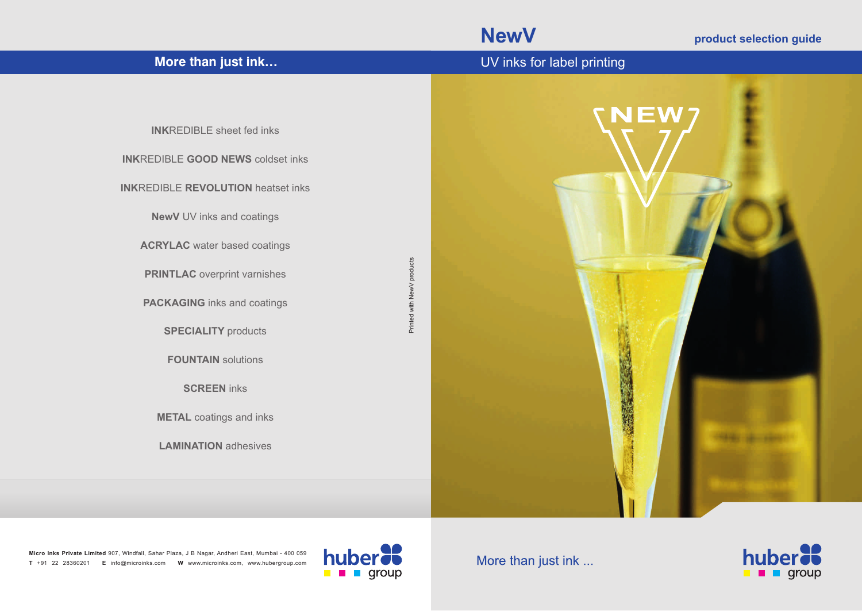**NewV product selection guide** 

| More than just ink                                                                                                                                                                                                                                                                                                                                                                                                                  | UV inks for label printing                    |
|-------------------------------------------------------------------------------------------------------------------------------------------------------------------------------------------------------------------------------------------------------------------------------------------------------------------------------------------------------------------------------------------------------------------------------------|-----------------------------------------------|
| <b>INKREDIBLE</b> sheet fed inks<br><b>INKREDIBLE GOOD NEWS coldset inks</b><br><b>INKREDIBLE REVOLUTION heatset inks</b><br><b>NewV</b> UV inks and coatings<br><b>ACRYLAC</b> water based coatings<br><b>PRINTLAC</b> overprint varnishes<br><b>PACKAGING</b> inks and coatings<br><b>SPECIALITY</b> products<br><b>FOUNTAIN</b> solutions<br><b>SCREEN</b> inks<br><b>METAL</b> coatings and inks<br><b>LAMINATION</b> adhesives | NEW7<br>Printed with NewV products<br>大きい あいま |

**Micro Inks Private Limited**  907, Windfall, Sahar Plaza, J B Nagar, Andheri East, Mumbai - 400 059 **T** +91 22 28360201 **E** info@microinks.com **W** www.microinks.com, www.hubergroup.com



More than just ink ...